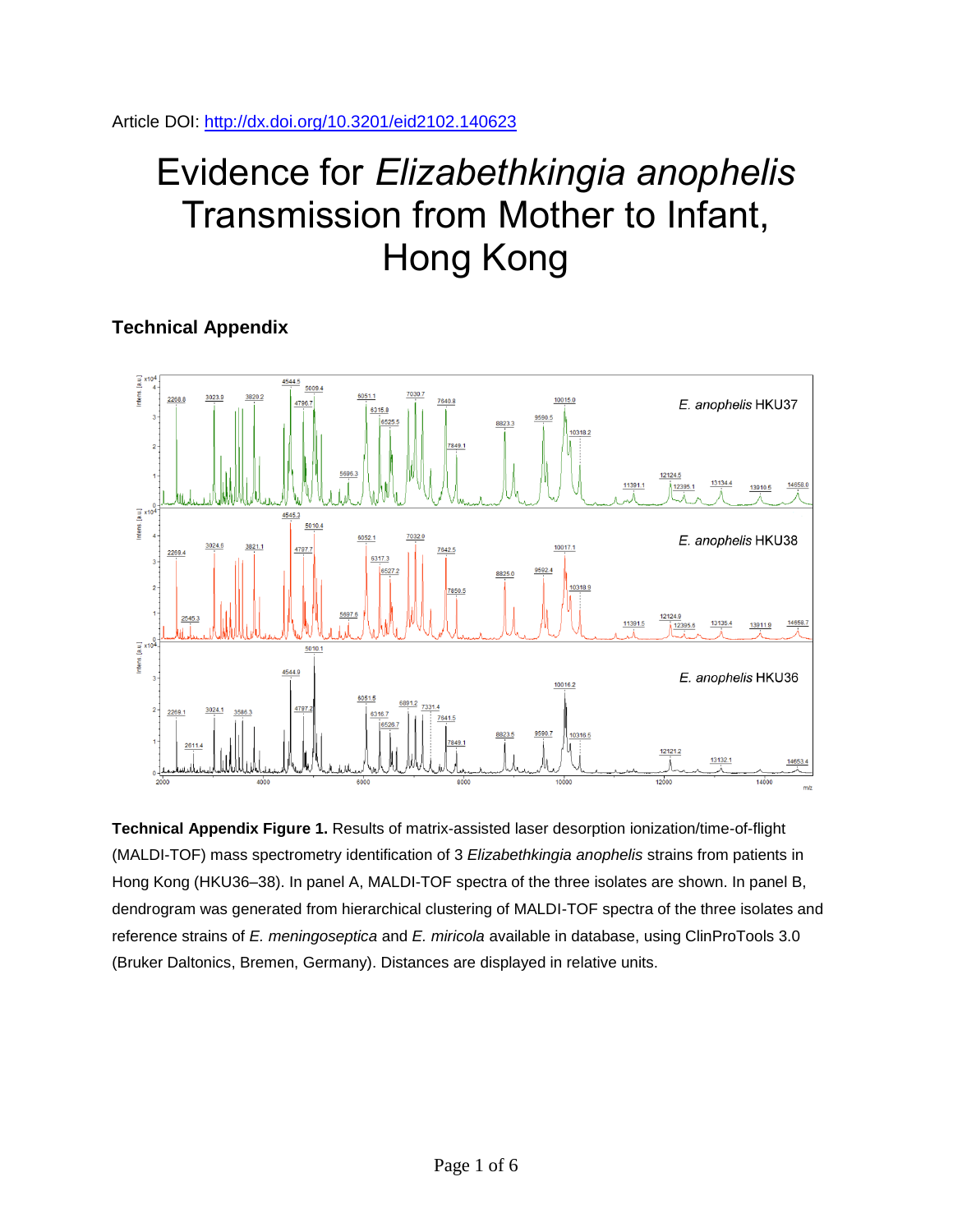Article DOI:<http://dx.doi.org/10.3201/eid2102.140623>

## Evidence for *Elizabethkingia anophelis* Transmission from Mother to Infant, Hong Kong

## **Technical Appendix**



**Technical Appendix Figure 1.** Results of matrix-assisted laser desorption ionization/time-of-flight (MALDI-TOF) mass spectrometry identification of 3 *Elizabethkingia anophelis* strains from patients in Hong Kong (HKU36–38). In panel A, MALDI-TOF spectra of the three isolates are shown. In panel B, dendrogram was generated from hierarchical clustering of MALDI-TOF spectra of the three isolates and reference strains of *E. meningoseptica* and *E. miricola* available in database, using ClinProTools 3.0 (Bruker Daltonics, Bremen, Germany). Distances are displayed in relative units.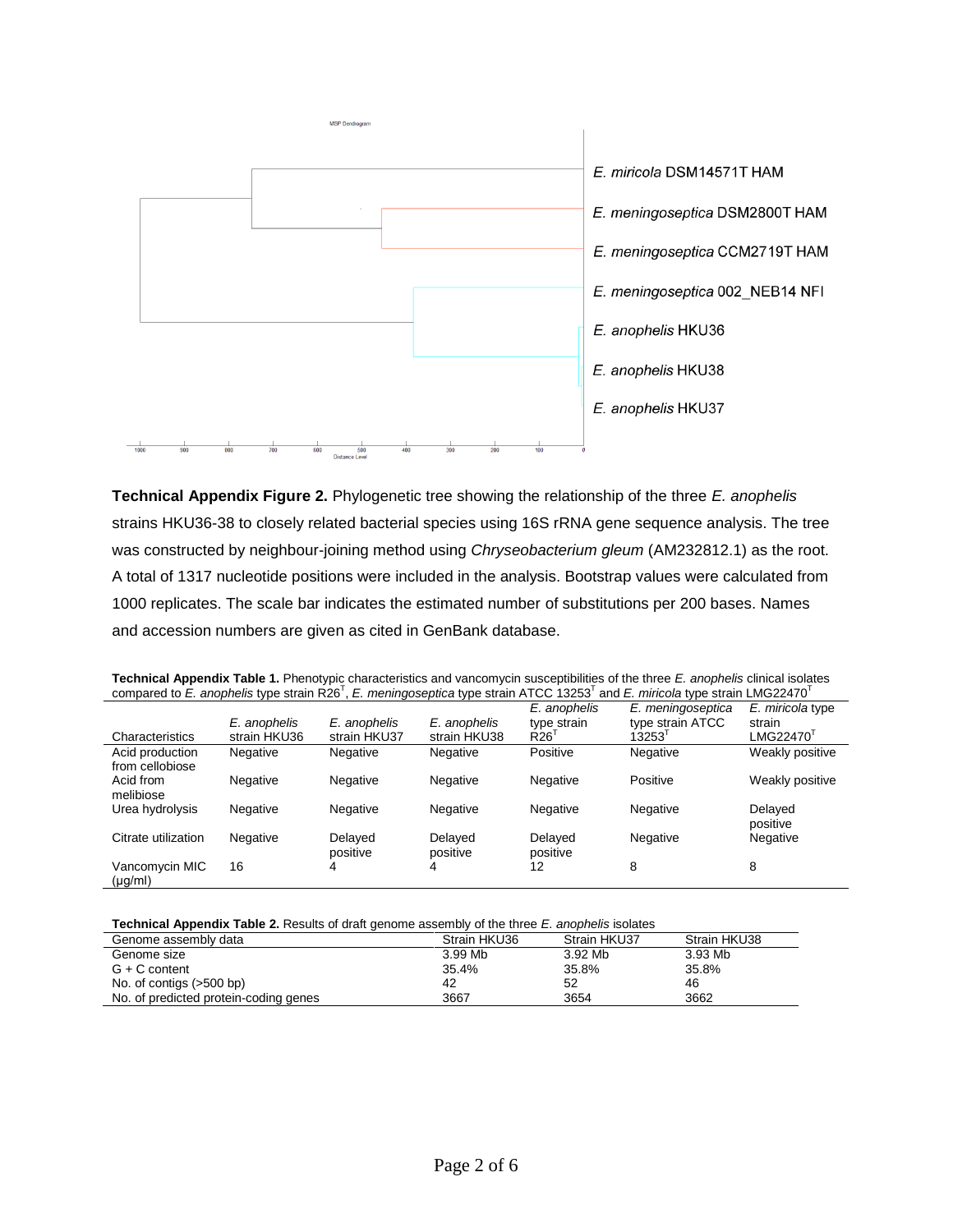

**Technical Appendix Figure 2.** Phylogenetic tree showing the relationship of the three *E. anophelis*  strains HKU36-38 to closely related bacterial species using 16S rRNA gene sequence analysis. The tree was constructed by neighbour-joining method using *Chryseobacterium gleum* (AM232812.1) as the root. A total of 1317 nucleotide positions were included in the analysis. Bootstrap values were calculated from 1000 replicates. The scale bar indicates the estimated number of substitutions per 200 bases. Names and accession numbers are given as cited in GenBank database.

| Technical Appendix Table 1. Phenotypic characteristics and vancomycin susceptibilities of the three E. anophelis clinical isolates |  |
|------------------------------------------------------------------------------------------------------------------------------------|--|
| compared to E. anophelis type strain R26', E. meningoseptica type strain ATCC 13253' and E. miricola type strain LMG22470'         |  |

| Characteristics                    | E. anophelis<br>strain HKU36 | E. anophelis<br>strain HKU37 | E. anophelis<br>strain HKU38 | E. anophelis<br>type strain<br>R <sub>26</sub> | E. meningoseptica<br>type strain ATCC<br>13253 | E. miricola type<br>strain<br>LMG22470' |
|------------------------------------|------------------------------|------------------------------|------------------------------|------------------------------------------------|------------------------------------------------|-----------------------------------------|
| Acid production<br>from cellobiose | Negative                     | Negative                     | Negative                     | Positive                                       | Negative                                       | Weakly positive                         |
| Acid from<br>melibiose             | Negative                     | Negative                     | Negative                     | Negative                                       | Positive                                       | Weakly positive                         |
| Urea hydrolysis                    | Negative                     | Negative                     | Negative                     | Negative                                       | Negative                                       | Delayed<br>positive                     |
| Citrate utilization                | Negative                     | Delayed<br>positive          | Delaved<br>positive          | Delayed<br>positive                            | Negative                                       | Negative                                |
| Vancomycin MIC<br>$(\mu g/ml)$     | 16                           | 4                            | 4                            | 12                                             | 8                                              | 8                                       |

## **Technical Appendix Table 2.** Results of draft genome assembly of the three *E. anophelis* isolates

| Genome assembly data                  | Strain HKU36 | Strain HKU37 | Strain HKU38 |  |  |  |  |  |  |
|---------------------------------------|--------------|--------------|--------------|--|--|--|--|--|--|
| Genome size                           | 3.99 Mb      | 3.92 Mb      | 3.93 Mb      |  |  |  |  |  |  |
| $G + C$ content                       | 35.4%        | 35.8%        | 35.8%        |  |  |  |  |  |  |
| No. of contigs $(>500$ bp)            | 42           | 52           | 46           |  |  |  |  |  |  |
| No. of predicted protein-coding genes | 3667         | 3654         | 3662         |  |  |  |  |  |  |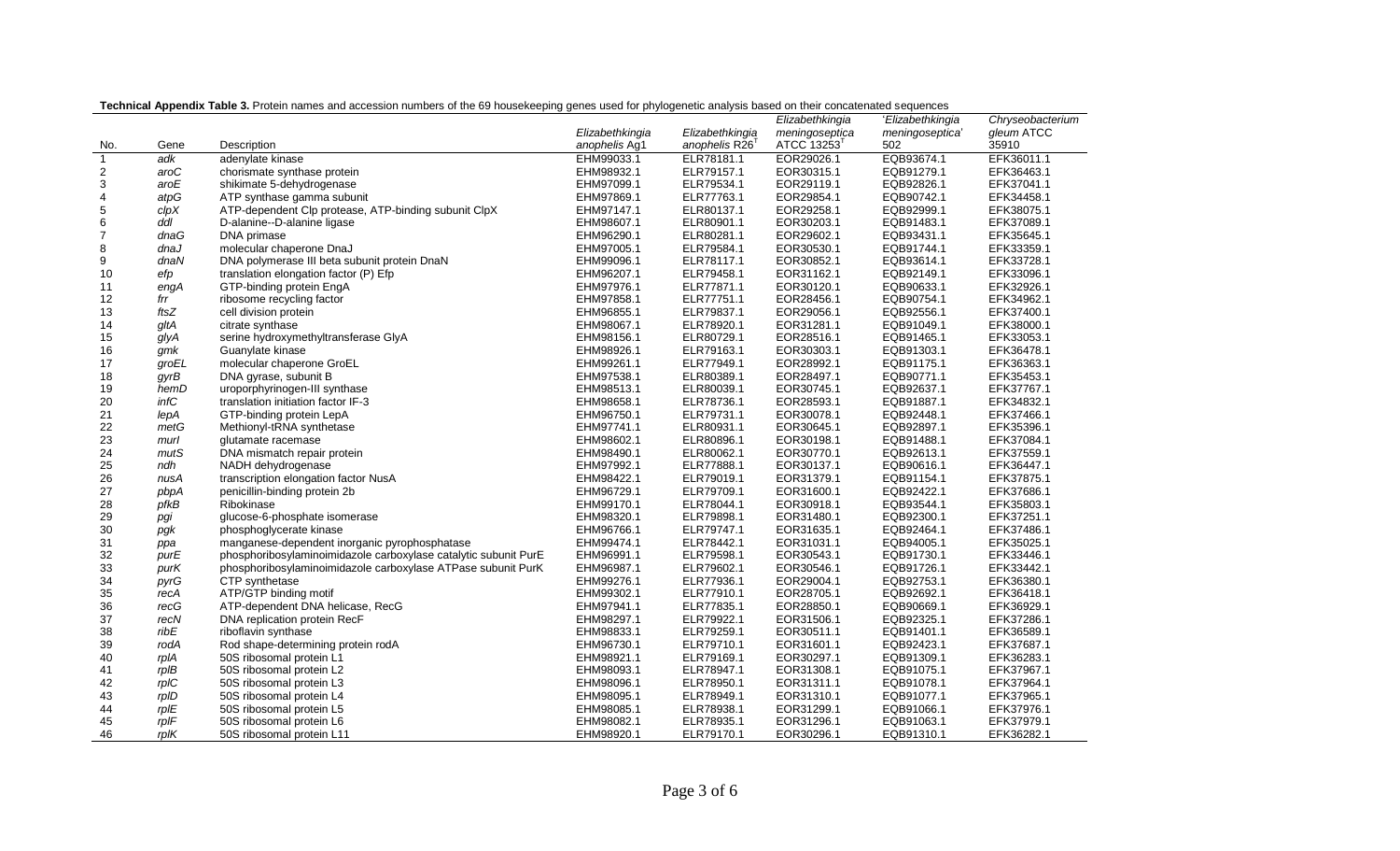|                |            |                                                                 |                 |                            | Elizabethkingia | 'Elizabethkingia | Chryseobacterium |
|----------------|------------|-----------------------------------------------------------------|-----------------|----------------------------|-----------------|------------------|------------------|
|                |            |                                                                 | Elizabethkingia | Elizabethkingia            | meningoseptica  | meningoseptica'  | gleum ATCC       |
| No.            | Gene       | Description                                                     | anophelis Ag1   | anophelis R26 <sup>T</sup> | ATCC 13253      | 502              | 35910            |
| $\overline{1}$ | adk        | adenylate kinase                                                | EHM99033.1      | ELR78181.1                 | EOR29026.1      | EQB93674.1       | EFK36011.1       |
| $\overline{c}$ | aroC       | chorismate synthase protein                                     | EHM98932.1      | ELR79157.1                 | EOR30315.1      | EQB91279.1       | EFK36463.1       |
| 3              | aroE       | shikimate 5-dehydrogenase                                       | EHM97099.1      | ELR79534.1                 | EOR29119.1      | EQB92826.1       | EFK37041.1       |
| $\overline{4}$ | atpG       | ATP synthase gamma subunit                                      | EHM97869.1      | ELR77763.1                 | EOR29854.1      | EQB90742.1       | EFK34458.1       |
| 5              | clpX       | ATP-dependent Clp protease, ATP-binding subunit ClpX            | EHM97147.1      | ELR80137.1                 | EOR29258.1      | EQB92999.1       | EFK38075.1       |
| 6              | ddl        | D-alanine--D-alanine ligase                                     | EHM98607.1      | ELR80901.1                 | EOR30203.1      | EQB91483.1       | EFK37089.1       |
| $\overline{7}$ | dnaG       | DNA primase                                                     | EHM96290.1      | ELR80281.1                 | EOR29602.1      | EQB93431.1       | EFK35645.1       |
| 8              | dnaJ       | molecular chaperone DnaJ                                        | EHM97005.1      | ELR79584.1                 | EOR30530.1      | EQB91744.1       | EFK33359.1       |
| 9              | dnaN       | DNA polymerase III beta subunit protein DnaN                    | EHM99096.1      | ELR78117.1                 | EOR30852.1      | EQB93614.1       | EFK33728.1       |
| 10             | efp        | translation elongation factor (P) Efp                           | EHM96207.1      | ELR79458.1                 | EOR31162.1      | EQB92149.1       | EFK33096.1       |
| 11             | engA       | GTP-binding protein EngA                                        | EHM97976.1      | ELR77871.1                 | EOR30120.1      | EQB90633.1       | EFK32926.1       |
| 12             | frr        | ribosome recycling factor                                       | EHM97858.1      | ELR77751.1                 | EOR28456.1      | EQB90754.1       | EFK34962.1       |
| 13             | ftsZ       | cell division protein                                           | EHM96855.1      | ELR79837.1                 | EOR29056.1      | EQB92556.1       | EFK37400.1       |
| 14             | gltA       | citrate synthase                                                | EHM98067.1      | ELR78920.1                 | EOR31281.1      | EQB91049.1       | EFK38000.1       |
| 15             | glyA       | serine hydroxymethyltransferase GlyA                            | EHM98156.1      | ELR80729.1                 | EOR28516.1      | EQB91465.1       | EFK33053.1       |
| 16             | gmk        | Guanylate kinase                                                | EHM98926.1      | ELR79163.1                 | EOR30303.1      | EQB91303.1       | EFK36478.1       |
| 17             | groEL      | molecular chaperone GroEL                                       | EHM99261.1      | ELR77949.1                 | EOR28992.1      | EQB91175.1       | EFK36363.1       |
| 18             | gyrB       | DNA gyrase, subunit B                                           | EHM97538.1      | ELR80389.1                 | EOR28497.1      | EQB90771.1       | EFK35453.1       |
| 19             | hemD       | uroporphyrinogen-III synthase                                   | EHM98513.1      | ELR80039.1                 | EOR30745.1      | EQB92637.1       | EFK37767.1       |
| 20             | infC       | translation initiation factor IF-3                              | EHM98658.1      | ELR78736.1                 | EOR28593.1      | EQB91887.1       | EFK34832.1       |
| 21             | lepA       | GTP-binding protein LepA                                        | EHM96750.1      | ELR79731.1                 | EOR30078.1      | EQB92448.1       | EFK37466.1       |
| 22             | metG       | Methionyl-tRNA synthetase                                       | EHM97741.1      | ELR80931.1                 | EOR30645.1      | EQB92897.1       | EFK35396.1       |
| 23             | murl       | glutamate racemase                                              | EHM98602.1      | ELR80896.1                 | EOR30198.1      | EQB91488.1       | EFK37084.1       |
| 24             | mutS       | DNA mismatch repair protein                                     | EHM98490.1      | ELR80062.1                 | EOR30770.1      | EQB92613.1       | EFK37559.1       |
| 25             | ndh        | NADH dehydrogenase                                              | EHM97992.1      | ELR77888.1                 | EOR30137.1      | EQB90616.1       | EFK36447.1       |
| 26             | nusA       | transcription elongation factor NusA                            | EHM98422.1      | ELR79019.1                 | EOR31379.1      | EQB91154.1       | EFK37875.1       |
| 27             | pbpA       | penicillin-binding protein 2b                                   | EHM96729.1      | ELR79709.1                 | EOR31600.1      | EQB92422.1       | EFK37686.1       |
| 28             | pfkB       | Ribokinase                                                      | EHM99170.1      | ELR78044.1                 | EOR30918.1      | EQB93544.1       | EFK35803.1       |
| 29             | pgi        | glucose-6-phosphate isomerase                                   | EHM98320.1      | ELR79898.1                 | EOR31480.1      | EQB92300.1       | EFK37251.1       |
| 30             | pgk        | phosphoglycerate kinase                                         | EHM96766.1      | ELR79747.1                 | EOR31635.1      | EQB92464.1       | EFK37486.1       |
| 31             | ppa        | manganese-dependent inorganic pyrophosphatase                   | EHM99474.1      | ELR78442.1                 | EOR31031.1      | EQB94005.1       | EFK35025.1       |
| 32             | purE       | phosphoribosylaminoimidazole carboxylase catalytic subunit PurE | EHM96991.1      | ELR79598.1                 | EOR30543.1      | EQB91730.1       | EFK33446.1       |
| 33             | purK       | phosphoribosylaminoimidazole carboxylase ATPase subunit PurK    | EHM96987.1      | ELR79602.1                 | EOR30546.1      | EQB91726.1       | EFK33442.1       |
| 34             | pyrG       | CTP synthetase                                                  | EHM99276.1      | ELR77936.1                 | EOR29004.1      | EQB92753.1       | EFK36380.1       |
| 35             | recA       | ATP/GTP binding motif                                           | EHM99302.1      | ELR77910.1                 | EOR28705.1      | EQB92692.1       | EFK36418.1       |
| 36             | recG       | ATP-dependent DNA helicase, RecG                                | EHM97941.1      | ELR77835.1                 | EOR28850.1      | EQB90669.1       | EFK36929.1       |
| 37             | recN       | DNA replication protein RecF                                    | EHM98297.1      | ELR79922.1                 | EOR31506.1      | EQB92325.1       | EFK37286.1       |
| 38             | ribE       | riboflavin synthase                                             | EHM98833.1      | ELR79259.1                 | EOR30511.1      | EQB91401.1       | EFK36589.1       |
| 39             | rodA       | Rod shape-determining protein rodA                              | EHM96730.1      | ELR79710.1                 | EOR31601.1      | EQB92423.1       | EFK37687.1       |
| 40             | rpIA       | 50S ribosomal protein L1                                        | EHM98921.1      | ELR79169.1                 | EOR30297.1      | EQB91309.1       | EFK36283.1       |
| 41             | $rp$ I $B$ | 50S ribosomal protein L2                                        | EHM98093.1      | ELR78947.1                 | EOR31308.1      | EQB91075.1       | EFK37967.1       |
| 42             | $rp$ IC    | 50S ribosomal protein L3                                        | EHM98096.1      | ELR78950.1                 | EOR31311.1      | EQB91078.1       | EFK37964.1       |
| 43             | rpID       | 50S ribosomal protein L4                                        | EHM98095.1      | ELR78949.1                 | EOR31310.1      | EQB91077.1       | EFK37965.1       |
| 44             | rpIE       | 50S ribosomal protein L5                                        | EHM98085.1      | ELR78938.1                 | EOR31299.1      | EQB91066.1       | EFK37976.1       |
| 45             | rpIF       | 50S ribosomal protein L6                                        | EHM98082.1      | ELR78935.1                 | EOR31296.1      | EQB91063.1       | EFK37979.1       |
| 46             | $r$ pl $K$ | 50S ribosomal protein L11                                       | EHM98920.1      | ELR79170.1                 | EOR30296.1      | EQB91310.1       | EFK36282.1       |

## **Technical Appendix Table 3.** Protein names and accession numbers of the 69 housekeeping genes used for phylogenetic analysis based on their concatenated sequences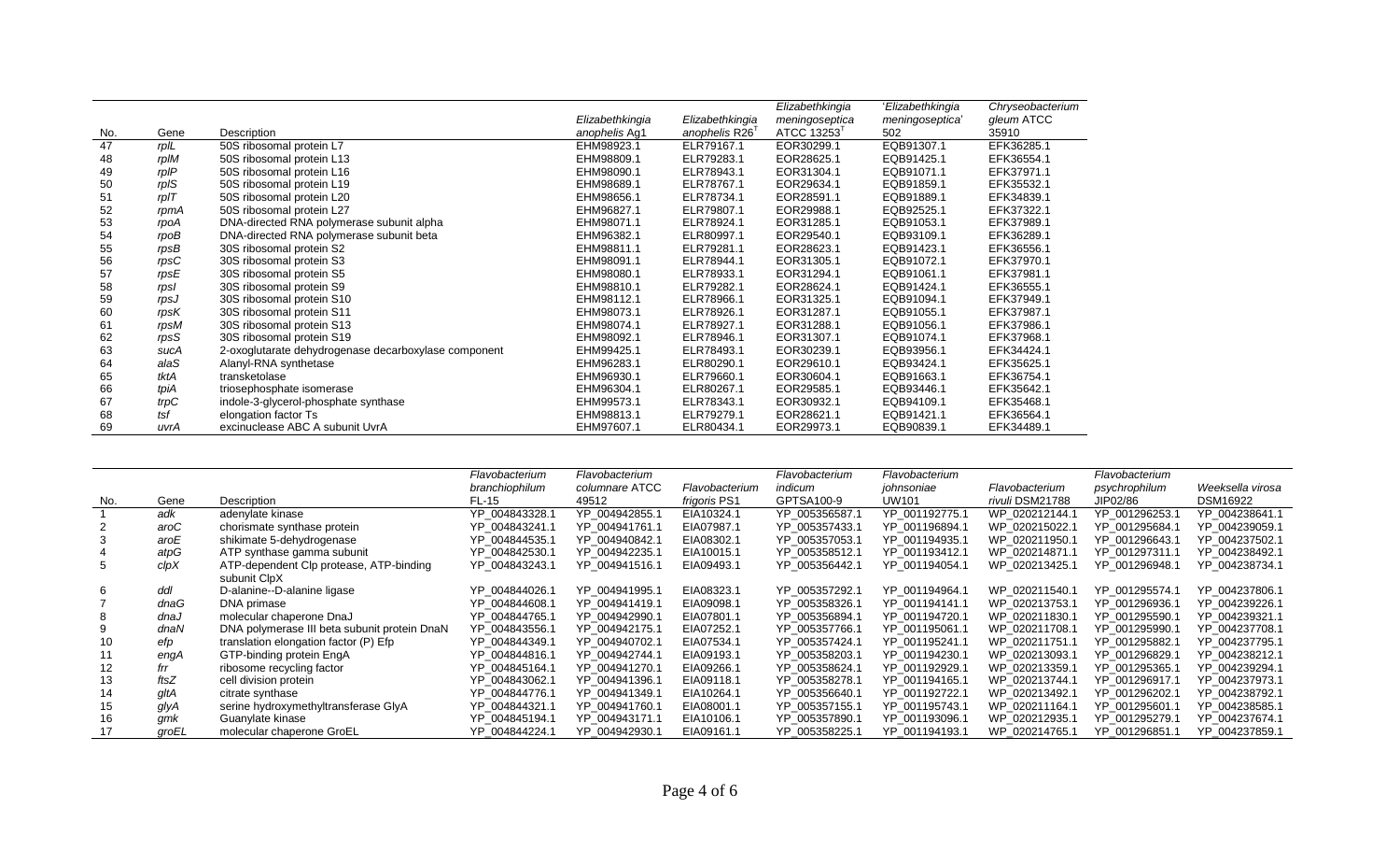|     |            |                                                      |                 |                 | Elizabethkingia | 'Elizabethkingia | Chryseobacterium |
|-----|------------|------------------------------------------------------|-----------------|-----------------|-----------------|------------------|------------------|
|     |            |                                                      | Elizabethkingia | Elizabethkingia | meningoseptica  | meningoseptica'  | gleum ATCC       |
| No. | Gene       | Description                                          | anophelis Ag1   | anophelis R26'  | ATCC 13253      | 502              | 35910            |
| 47  | rpIL       | 50S ribosomal protein L7                             | EHM98923.1      | ELR79167.1      | EOR30299.1      | EQB91307.1       | EFK36285.1       |
| 48  | rpIM       | 50S ribosomal protein L13                            | EHM98809.1      | ELR79283.1      | EOR28625.1      | EQB91425.1       | EFK36554.1       |
| 49  | rpIP       | 50S ribosomal protein L16                            | EHM98090.1      | ELR78943.1      | EOR31304.1      | EQB91071.1       | EFK37971.1       |
| 50  | rpIS       | 50S ribosomal protein L19                            | EHM98689.1      | ELR78767.1      | EOR29634.1      | EQB91859.1       | EFK35532.1       |
| 51  | $r$ pl $T$ | 50S ribosomal protein L20                            | EHM98656.1      | ELR78734.1      | EOR28591.1      | EQB91889.1       | EFK34839.1       |
| 52  | rpmA       | 50S ribosomal protein L27                            | EHM96827.1      | ELR79807.1      | EOR29988.1      | EQB92525.1       | EFK37322.1       |
| 53  | rpoA       | DNA-directed RNA polymerase subunit alpha            | EHM98071.1      | ELR78924.1      | EOR31285.1      | EQB91053.1       | EFK37989.1       |
| 54  | rpoB       | DNA-directed RNA polymerase subunit beta             | EHM96382.1      | ELR80997.1      | EOR29540.1      | EQB93109.1       | EFK36289.1       |
| 55  | rpsB       | 30S ribosomal protein S2                             | EHM98811.1      | ELR79281.1      | EOR28623.1      | EQB91423.1       | EFK36556.1       |
| 56  | rpsC       | 30S ribosomal protein S3                             | EHM98091.1      | ELR78944.1      | EOR31305.1      | EQB91072.1       | EFK37970.1       |
| 57  | rpsE       | 30S ribosomal protein S5                             | EHM98080.1      | ELR78933.1      | EOR31294.1      | EQB91061.1       | EFK37981.1       |
| 58  | rpsl       | 30S ribosomal protein S9                             | EHM98810.1      | ELR79282.1      | EOR28624.1      | EQB91424.1       | EFK36555.1       |
| 59  | rpsJ       | 30S ribosomal protein S10                            | EHM98112.1      | ELR78966.1      | EOR31325.1      | EQB91094.1       | EFK37949.1       |
| 60  | rpsK       | 30S ribosomal protein S11                            | EHM98073.1      | ELR78926.1      | EOR31287.1      | EQB91055.1       | EFK37987.1       |
| 61  | rpsM       | 30S ribosomal protein S13                            | EHM98074.1      | ELR78927.1      | EOR31288.1      | EQB91056.1       | EFK37986.1       |
| 62  | rpsS       | 30S ribosomal protein S19                            | EHM98092.1      | ELR78946.1      | EOR31307.1      | EQB91074.1       | EFK37968.1       |
| 63  | sucA       | 2-oxoglutarate dehydrogenase decarboxylase component | EHM99425.1      | ELR78493.1      | EOR30239.1      | EQB93956.1       | EFK34424.1       |
| 64  | alaS       | Alanyl-RNA synthetase                                | EHM96283.1      | ELR80290.1      | EOR29610.1      | EQB93424.1       | EFK35625.1       |
| 65  | tktA       | transketolase                                        | EHM96930.1      | ELR79660.1      | EOR30604.1      | EQB91663.1       | EFK36754.1       |
| 66  | tpiA       | triosephosphate isomerase                            | EHM96304.1      | ELR80267.1      | EOR29585.1      | EQB93446.1       | EFK35642.1       |
| 67  | trpC       | indole-3-glycerol-phosphate synthase                 | EHM99573.1      | ELR78343.1      | EOR30932.1      | EQB94109.1       | EFK35468.1       |
| 68  | tsf        | elongation factor Ts                                 | EHM98813.1      | ELR79279.1      | EOR28621.1      | EQB91421.1       | EFK36564.1       |
| 69  | uvrA       | excinuclease ABC A subunit UvrA                      | EHM97607.1      | ELR80434.1      | EOR29973.1      | EQB90839.1       | EFK34489.1       |

|     |       |                                              | Flavobacterium | Flavobacterium |                     | Flavobacterium | Flavobacterium |                 | Flavobacterium |                  |
|-----|-------|----------------------------------------------|----------------|----------------|---------------------|----------------|----------------|-----------------|----------------|------------------|
|     |       |                                              | branchiophilum | columnare ATCC | Flavobacterium      | indicum        | johnsoniae     | Flavobacterium  | psychrophilum  | Weeksella virosa |
| No. | Gene  | Description                                  | FL-15          | 49512          | <i>frigoris</i> PS1 | GPTSA100-9     | UW101          | rivuli DSM21788 | JIP02/86       | DSM16922         |
|     | adk   | adenylate kinase                             | YP 004843328.1 | YP 004942855.1 | EIA10324.1          | YP 005356587.1 | YP 001192775.1 | WP 020212144.1  | YP 001296253.1 | YP 004238641.1   |
|     | aroC  | chorismate synthase protein                  | YP 004843241.1 | YP 004941761.1 | EIA07987.1          | YP 005357433.1 | YP 001196894.1 | WP 020215022.1  | YP 001295684.1 | YP 004239059.1   |
|     | aroE  | shikimate 5-dehydrogenase                    | YP 004844535.1 | YP 004940842.1 | EIA08302.1          | YP 005357053.1 | YP 001194935.1 | WP 020211950.1  | YP 001296643.1 | YP 004237502.1   |
|     | atpG  | ATP synthase gamma subunit                   | YP 004842530.1 | YP 004942235.1 | EIA10015.1          | YP 005358512.1 | YP 001193412.1 | WP 020214871.1  | YP 001297311.1 | YP 004238492.1   |
|     | clpX  | ATP-dependent Clp protease, ATP-binding      | YP 004843243.1 | YP 004941516.1 | EIA09493.1          | YP 005356442.1 | YP 001194054.1 | WP 020213425.1  | YP 001296948.1 | YP 004238734.1   |
|     |       | subunit ClpX                                 |                |                |                     |                |                |                 |                |                  |
| 6   | ddl   | D-alanine--D-alanine ligase                  | YP 004844026.1 | YP 004941995.1 | EIA08323.1          | YP 005357292.1 | YP 001194964.1 | WP 020211540.1  | YP 001295574.1 | YP_004237806.1   |
|     | dnaG  | DNA primase                                  | YP 004844608.1 | YP 004941419.1 | EIA09098.1          | YP 005358326.1 | YP 001194141.1 | WP 020213753.1  | YP 001296936.1 | YP 004239226.1   |
|     | dnaJ  | molecular chaperone DnaJ                     | YP 004844765.1 | YP 004942990.1 | EIA07801.1          | YP 005356894.1 | YP_001194720.1 | WP 020211830.1  | YP 001295590.1 | YP 004239321.1   |
|     | dnaN  | DNA polymerase III beta subunit protein DnaN | YP 004843556.1 | YP 004942175.1 | EIA07252.1          | YP 005357766.1 | YP 001195061.1 | WP 020211708.1  | YP 001295990.1 | YP 004237708.1   |
|     | efp   | translation elongation factor (P) Efp        | YP 004844349.1 | YP 004940702.1 | EIA07534.1          | YP 005357424.1 | YP 001195241.1 | WP 020211751.1  | YP 001295882.1 | YP 004237795.1   |
| 11  | engA  | GTP-binding protein EngA                     | YP 004844816.1 | YP 004942744.1 | EIA09193.1          | YP 005358203.1 | YP 001194230.1 | WP 020213093.1  | YP 001296829.1 | YP 004238212.1   |
|     | frr   | ribosome recycling factor                    | YP 004845164.1 | YP 004941270.1 | EIA09266.1          | YP 005358624.1 | YP 001192929.1 | WP 020213359.1  | YP 001295365.1 | YP 004239294.1   |
| 13  | ftsZ  | cell division protein                        | YP 004843062.1 | YP 004941396.1 | EIA09118.1          | YP 005358278.1 | YP 001194165.1 | WP 020213744.1  | YP 001296917.1 | YP 004237973.1   |
|     | gltA  | citrate synthase                             | YP 004844776.1 | YP 004941349.1 | EIA10264.1          | YP 005356640.1 | YP 001192722.1 | WP 020213492.1  | YP 001296202.1 | YP 004238792.1   |
| 15  | glyA  | serine hydroxymethyltransferase GlyA         | YP 004844321.1 | YP 004941760.1 | EIA08001.1          | YP 005357155.1 | YP 001195743.1 | WP 020211164.1  | YP 001295601.1 | YP_004238585.1   |
| 16  | gmk   | Guanylate kinase                             | YP 004845194.1 | YP 004943171.1 | EIA10106.1          | YP 005357890.1 | YP 001193096.1 | WP 020212935.1  | YP 001295279.1 | YP 004237674.1   |
| 17  | groEL | molecular chaperone GroEL                    | YP 004844224.1 | YP 004942930.1 | EIA09161.1          | YP 005358225.1 | YP 001194193.1 | WP 020214765.1  | YP 001296851.1 | YP 004237859.1   |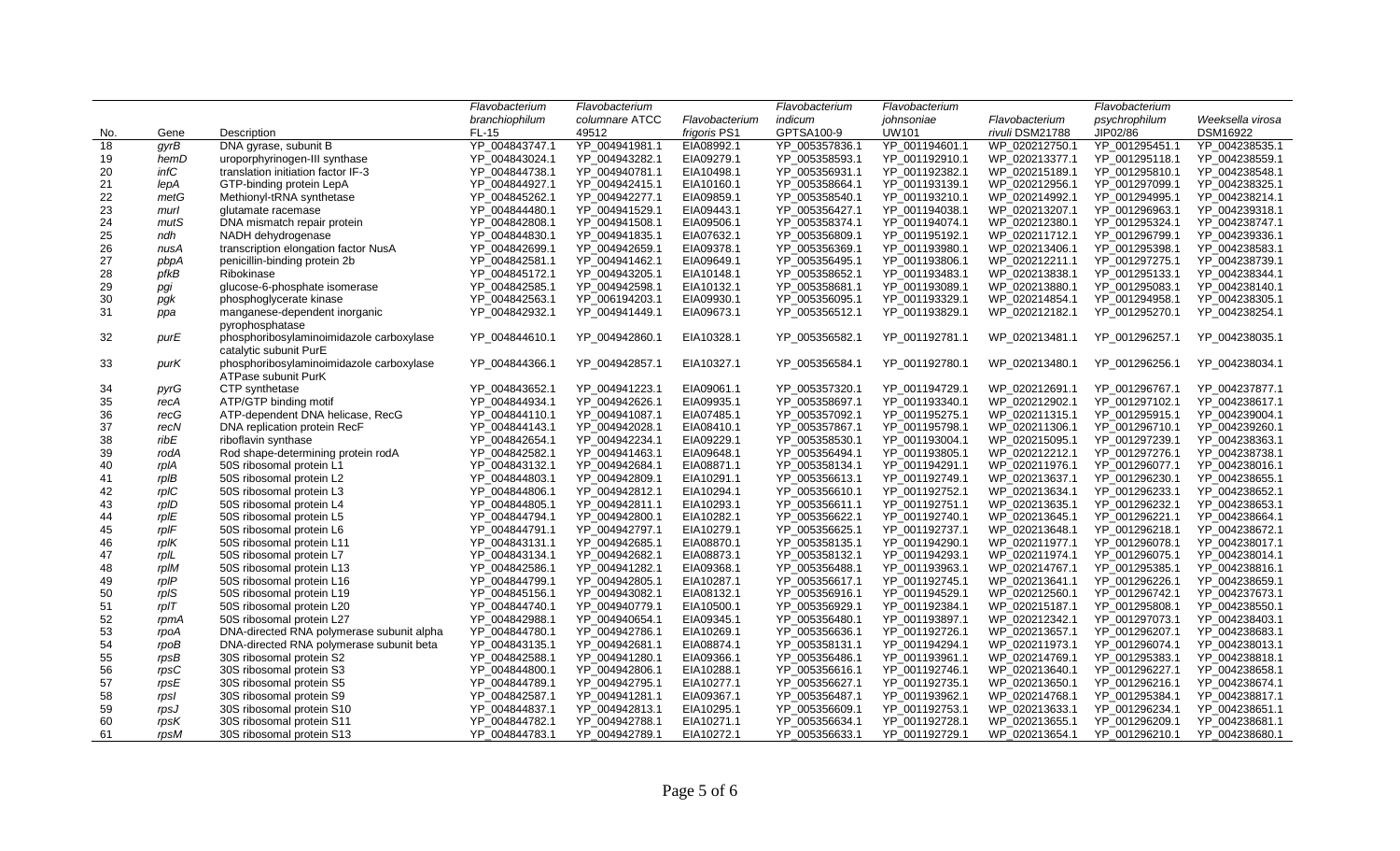|     |            |                                                                    | Flavobacterium | Flavobacterium |                | Flavobacterium | Flavobacterium |                 | Flavobacterium |                  |
|-----|------------|--------------------------------------------------------------------|----------------|----------------|----------------|----------------|----------------|-----------------|----------------|------------------|
|     |            |                                                                    | branchiophilum | columnare ATCC | Flavobacterium | indicum        | johnsoniae     | Flavobacterium  | psychrophilum  | Weeksella virosa |
| No. | Gene       | Description                                                        | <b>FL-15</b>   | 49512          | frigoris PS1   | GPTSA100-9     | UW101          | rivuli DSM21788 | JIP02/86       | DSM16922         |
| 18  | gyrB       | DNA gyrase, subunit B                                              | YP_004843747.1 | YP_004941981.1 | EIA08992.1     | YP_005357836.1 | YP_001194601.1 | WP_020212750.1  | YP_001295451.1 | YP_004238535.1   |
| 19  | hemD       | uroporphyrinogen-III synthase                                      | YP 004843024.1 | YP 004943282.1 | EIA09279.1     | YP_005358593.1 | YP_001192910.1 | WP_020213377.1  | YP_001295118.1 | YP_004238559.1   |
| 20  | infC       | translation initiation factor IF-3                                 | YP 004844738.1 | YP 004940781.1 | EIA10498.1     | YP 005356931.1 | YP 001192382.1 | WP 020215189.1  | YP 001295810.1 | YP 004238548.1   |
| 21  | lepA       | GTP-binding protein LepA                                           | YP 004844927.1 | YP 004942415.1 | EIA10160.1     | YP 005358664.1 | YP 001193139.1 | WP 020212956.1  | YP 001297099.1 | YP 004238325.1   |
| 22  | metG       | Methionyl-tRNA synthetase                                          | YP 004845262.1 | YP 004942277.1 | EIA09859.1     | YP 005358540.1 | YP 001193210.1 | WP 020214992.1  | YP 001294995.1 | YP 004238214.1   |
| 23  | murl       | glutamate racemase                                                 | YP 004844480.1 | YP 004941529.1 | EIA09443.1     | YP 005356427.1 | YP 001194038.1 | WP_020213207.1  | YP 001296963.1 | YP 004239318.1   |
| 24  | mutS       | DNA mismatch repair protein                                        | YP 004842808.1 | YP 004941508.1 | EIA09506.1     | YP 005358374.1 | YP 001194074.1 | WP 020212380.1  | YP 001295324.1 | YP 004238747.1   |
| 25  | ndh        | NADH dehydrogenase                                                 | YP 004844830.1 | YP 004941835.1 | EIA07632.1     | YP 005356809.1 | YP 001195192.1 | WP 020211712.1  | YP 001296799.1 | YP 004239336.1   |
| 26  | nusA       | transcription elongation factor NusA                               | YP 004842699.1 | YP 004942659.1 | EIA09378.1     | YP 005356369.1 | YP_001193980.1 | WP 020213406.1  | YP 001295398.1 | YP_004238583.1   |
| 27  | pbpA       | penicillin-binding protein 2b                                      | YP 004842581.1 | YP 004941462.1 | EIA09649.1     | YP 005356495.1 | YP 001193806.1 | WP 020212211.1  | YP 001297275.1 | YP 004238739.1   |
| 28  | pfkB       | Ribokinase                                                         | YP 004845172.1 | YP 004943205.1 | EIA10148.1     | YP 005358652.1 | YP 001193483.1 | WP 020213838.1  | YP 001295133.1 | YP 004238344.1   |
| 29  | pgi        | glucose-6-phosphate isomerase                                      | YP 004842585.1 | YP 004942598.1 | EIA10132.1     | YP 005358681.1 | YP 001193089.1 | WP 020213880.1  | YP 001295083.1 | YP 004238140.1   |
| 30  | pgk        | phosphoglycerate kinase                                            | YP_004842563.1 | YP 006194203.1 | EIA09930.1     | YP_005356095.1 | YP 001193329.1 | WP_020214854.1  | YP_001294958.1 | YP_004238305.1   |
| 31  | ppa        | manganese-dependent inorganic                                      | YP_004842932.1 | YP_004941449.1 | EIA09673.1     | YP_005356512.1 | YP_001193829.1 | WP_020212182.1  | YP_001295270.1 | YP_004238254.1   |
|     |            | pyrophosphatase                                                    |                |                |                |                |                |                 |                |                  |
| 32  | purE       | phosphoribosylaminoimidazole carboxylase<br>catalytic subunit PurE | YP 004844610.1 | YP 004942860.1 | EIA10328.1     | YP 005356582.1 | YP 001192781.1 | WP 020213481.1  | YP 001296257.1 | YP 004238035.1   |
| 33  | purK       | phosphoribosylaminoimidazole carboxylase<br>ATPase subunit PurK    | YP 004844366.1 | YP 004942857.1 | EIA10327.1     | YP 005356584.1 | YP 001192780.1 | WP_020213480.1  | YP 001296256.1 | YP_004238034.1   |
| 34  | pyrG       | CTP synthetase                                                     | YP 004843652.1 | YP 004941223.1 | EIA09061.1     | YP 005357320.1 | YP 001194729.1 | WP 020212691.1  | YP 001296767.1 | YP 004237877.1   |
| 35  | recA       | ATP/GTP binding motif                                              | YP 004844934.1 | YP 004942626.1 | EIA09935.1     | YP 005358697.1 | YP 001193340.1 | WP 020212902.1  | YP 001297102.1 | YP_004238617.1   |
| 36  | recG       | ATP-dependent DNA helicase, RecG                                   | YP 004844110.1 | YP 004941087.1 | EIA07485.1     | YP 005357092.1 | YP_001195275.1 | WP_020211315.1  | YP 001295915.1 | YP_004239004.1   |
| 37  | recN       | DNA replication protein RecF                                       | YP 004844143.1 | YP 004942028.1 | EIA08410.1     | YP_005357867.1 | YP 001195798.1 | WP 020211306.1  | YP_001296710.1 | YP_004239260.1   |
| 38  | ribE       | riboflavin synthase                                                | YP_004842654.1 | YP_004942234.1 | EIA09229.1     | YP_005358530.1 | YP_001193004.1 | WP_020215095.1  | YP_001297239.1 | YP_004238363.1   |
| 39  | rodA       | Rod shape-determining protein rodA                                 | YP 004842582.1 | YP 004941463.1 | EIA09648.1     | YP 005356494.1 | YP 001193805.1 | WP 020212212.1  | YP 001297276.1 | YP 004238738.1   |
| 40  | rpIA       | 50S ribosomal protein L1                                           | YP 004843132.1 | YP 004942684.1 | EIA08871.1     | YP 005358134.1 | YP_001194291.1 | WP 020211976.1  | YP 001296077.1 | YP_004238016.1   |
| 41  | rpIB       | 50S ribosomal protein L2                                           | YP 004844803.1 | YP 004942809.1 | EIA10291.1     | YP_005356613.1 | YP 001192749.1 | WP 020213637.1  | YP 001296230.1 | YP_004238655.1   |
| 42  | rpIC       | 50S ribosomal protein L3                                           | YP_004844806.1 | YP_004942812.1 | EIA10294.1     | YP_005356610.1 | YP_001192752.1 | WP_020213634.1  | YP_001296233.1 | YP_004238652.1   |
| 43  | rpID       | 50S ribosomal protein L4                                           | YP 004844805.1 | YP 004942811.1 | EIA10293.1     | YP 005356611.1 | YP 001192751.1 | WP 020213635.1  | YP 001296232.1 | YP 004238653.1   |
| 44  | rpIE       | 50S ribosomal protein L5                                           | YP 004844794.1 | YP 004942800.1 | EIA10282.1     | YP_005356622.1 | YP 001192740.1 | WP 020213645.1  | YP 001296221.1 | YP 004238664.1   |
| 45  | $r$ pl $F$ | 50S ribosomal protein L6                                           | YP 004844791.1 | YP 004942797.1 | EIA10279.1     | YP_005356625.1 | YP_001192737.1 | WP_020213648.1  | YP_001296218.1 | YP_004238672.1   |
| 46  | $rp$ IK    | 50S ribosomal protein L11                                          | YP 004843131.1 | YP 004942685.1 | EIA08870.1     | YP_005358135.1 | YP_001194290.1 | WP_020211977.1  | YP 001296078.1 | YP 004238017.1   |
| 47  | rpIL       | 50S ribosomal protein L7                                           | YP 004843134.1 | YP_004942682.1 | EIA08873.1     | YP 005358132.1 | YP 001194293.1 | WP 020211974.1  | YP 001296075.1 | YP 004238014.1   |
| 48  | rpIM       | 50S ribosomal protein L13                                          | YP 004842586.1 | YP 004941282.1 | EIA09368.1     | YP 005356488.1 | YP_001193963.1 | WP 020214767.1  | YP 001295385.1 | YP 004238816.1   |
| 49  | $rp$ I $P$ | 50S ribosomal protein L16                                          | YP 004844799.1 | YP 004942805.1 | EIA10287.1     | YP 005356617.1 | YP 001192745.1 | WP 020213641.1  | YP 001296226.1 | YP 004238659.1   |
| 50  | rpIS       | 50S ribosomal protein L19                                          | YP 004845156.1 | YP 004943082.1 | EIA08132.1     | YP 005356916.1 | YP_001194529.1 | WP_020212560.1  | YP 001296742.1 | YP 004237673.1   |
| 51  | $r$ pl $T$ | 50S ribosomal protein L20                                          | YP 004844740.1 | YP 004940779.1 | EIA10500.1     | YP_005356929.1 | YP_001192384.1 | WP_020215187.1  | YP_001295808.1 | YP_004238550.1   |
| 52  | rpmA       | 50S ribosomal protein L27                                          | YP 004842988.1 | YP 004940654.1 | EIA09345.1     | YP 005356480.1 | YP 001193897.1 | WP 020212342.1  | YP 001297073.1 | YP 004238403.1   |
| 53  | rpoA       | DNA-directed RNA polymerase subunit alpha                          | YP 004844780.1 | YP 004942786.1 | EIA10269.1     | YP 005356636.1 | YP 001192726.1 | WP 020213657.1  | YP 001296207.1 | YP 004238683.1   |
| 54  | rpoB       | DNA-directed RNA polymerase subunit beta                           | YP 004843135.1 | YP 004942681.1 | EIA08874.1     | YP 005358131.1 | YP 001194294.1 | WP 020211973.1  | YP 001296074.1 | YP 004238013.1   |
| 55  | rpsB       | 30S ribosomal protein S2                                           | YP 004842588.1 | YP_004941280.1 | EIA09366.1     | YP_005356486.1 | YP_001193961.1 | WP_020214769.1  | YP_001295383.1 | YP_004238818.1   |
| 56  | rpsC       | 30S ribosomal protein S3                                           | YP 004844800.1 | YP 004942806.1 | EIA10288.1     | YP 005356616.1 | YP 001192746.1 | WP 020213640.1  | YP 001296227.1 | YP 004238658.1   |
| 57  | rpsE       | 30S ribosomal protein S5                                           | YP 004844789.1 | YP 004942795.1 | EIA10277.1     | YP 005356627.1 | YP 001192735.1 | WP 020213650.1  | YP 001296216.1 | YP 004238674.1   |
| 58  | rpsl       | 30S ribosomal protein S9                                           | YP 004842587.1 | YP 004941281.1 | EIA09367.1     | YP 005356487.1 | YP 001193962.1 | WP 020214768.1  | YP 001295384.1 | YP 004238817.1   |
| 59  | rpsJ       | 30S ribosomal protein S10                                          | YP_004844837.1 | YP_004942813.1 | EIA10295.1     | YP_005356609.1 | YP_001192753.1 | WP_020213633.1  | YP_001296234.1 | YP_004238651.1   |
| 60  | rpsK       | 30S ribosomal protein S11                                          | YP_004844782.1 | YP_004942788.1 | EIA10271.1     | YP_005356634.1 | YP_001192728.1 | WP_020213655.1  | YP_001296209.1 | YP_004238681.1   |
| 61  | rpsM       | 30S ribosomal protein S13                                          | YP 004844783.1 | YP 004942789.1 | EIA10272.1     | YP 005356633.1 | YP 001192729.1 | WP 020213654.1  | YP 001296210.1 | YP 004238680.1   |